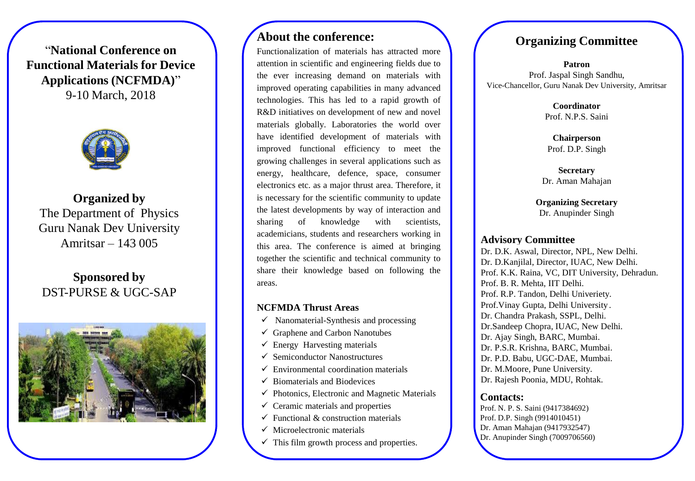"**National Conference on Functional Materials for Device Applications (NCFMDA)**" 9-10 March, 2018



**Organized by** The Department of Physics Guru Nanak Dev University Amritsar – 143 005

# **Sponsored by** DST-PURSE & UGC-SAP



# **About the conference:**

Functionalization of materials has attracted more attention in scientific and engineering fields due to the ever increasing demand on materials with improved operating capabilities in many advanced technologies. This has led to a rapid growth of R&D initiatives on development of new and novel materials globally. Laboratories the world over have identified development of materials with improved functional efficiency to meet the growing challenges in several applications such as energy, healthcare, defence, space, consumer electronics etc. as a major thrust area. Therefore, it is necessary for the scientific community to update the latest developments by way of interaction and sharing of knowledge with scientists, academicians, students and researchers working in this area. The conference is aimed at bringing together the scientific and technical community to share their knowledge based on following the areas.

### **NCFMDA Thrust Areas**

- $\checkmark$  Nanomaterial-Synthesis and processing
- $\checkmark$  Graphene and Carbon Nanotubes
- $\checkmark$  Energy Harvesting materials
- $\checkmark$  Semiconductor Nanostructures
- $\checkmark$  Environmental coordination materials
- $\checkmark$  Biomaterials and Biodevices
- $\checkmark$  Photonics, Electronic and Magnetic Materials
- $\checkmark$  Ceramic materials and properties
- $\checkmark$  Functional & construction materials
- $\checkmark$  Microelectronic materials
- $\checkmark$  This film growth process and properties.

# **Organizing Committee**

## **Patron**  Prof. Jaspal Singh Sandhu, Vice-Chancellor, Guru Nanak Dev University, Amritsar

**Coordinator**  Prof. N.P.S. Saini.

**Chairperson**  Prof. D.P. Singh

**Secretary**  Dr. Aman Mahajan

**Organizing Secretary**  Dr. Anupinder Singh

## **Advisory Committee**

Dr. D.K. Aswal, Director, NPL, New Delhi. Dr. D.Kanjilal, Director, IUAC, New Delhi. Prof. K.K. Raina, VC, DIT University, Dehradun. Prof. B. R. Mehta, IIT Delhi. Prof. R.P. Tandon, Delhi Univeriety. Prof.Vinay Gupta, Delhi University . Dr. Chandra Prakash, SSPL, Delhi. Dr.Sandeep Chopra, IUAC, New Delhi. Dr. Ajay Singh, BARC, Mumbai. Dr. P.S.R. Krishna, BARC, Mumbai. Dr. P.D. Babu, UGC-DAE, Mumbai. Dr. M.Moore, Pune University. Dr. Rajesh Poonia, MDU, Rohtak.

## **Contacts:**

Prof. N. P. S. Saini (9417384692) Prof. D.P. Singh (9914010451) Dr. Aman Mahajan (9417932547) Dr. Anupinder Singh (7009706560)